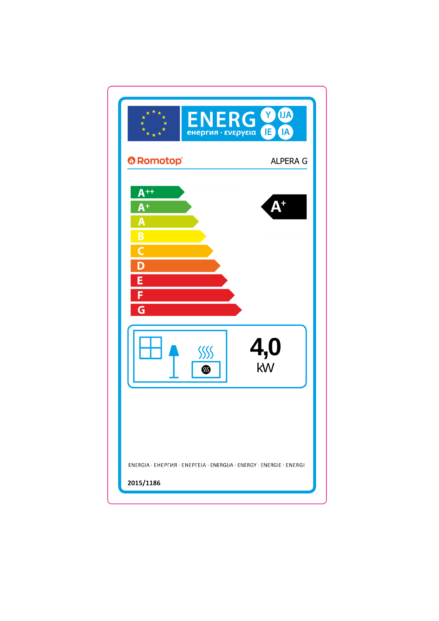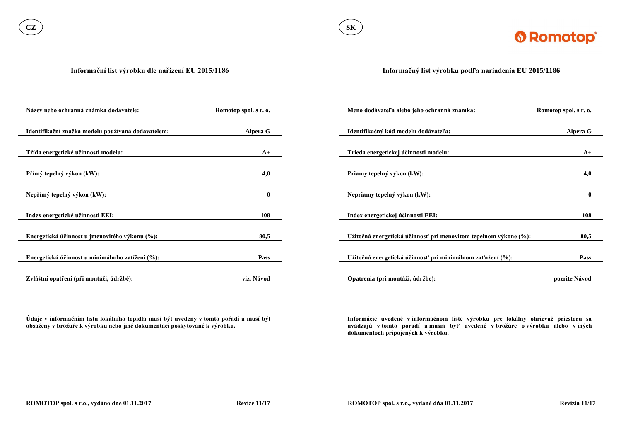

#### **Informační list výrobku dle nařízení EU 2015/1186**

**Údaje v informačním listu lokálního topidla musí být uvedeny v tomto pořadí a musí být obsaženy v brožuře k výrobku nebo jiné dokumentaci poskytované k výrobku.**

| Název nebo ochranná známka dodavatele:             | Romotop spol. s r. o. | Meno dodávateľa alebo jeho ochranná známka:                      | Romotop spol. s r. o. |
|----------------------------------------------------|-----------------------|------------------------------------------------------------------|-----------------------|
|                                                    |                       |                                                                  |                       |
| Identifikační značka modelu používaná dodavatelem: | <b>Alpera G</b>       | Identifikačný kód modelu dodávateľa:                             | <b>Alpera G</b>       |
|                                                    |                       |                                                                  |                       |
| Třída energetické účinnosti modelu:                | $A+$                  | Trieda energetickej účinnosti modelu:                            | $A+$                  |
|                                                    |                       |                                                                  |                       |
| Přímý tepelný výkon (kW):                          | 4,0                   | Priamy tepelný výkon (kW):                                       | 4,0                   |
|                                                    |                       |                                                                  |                       |
| Nepřímý tepelný výkon (kW):                        | $\mathbf{0}$          | Nepriamy tepelný výkon (kW):                                     | $\mathbf{0}$          |
|                                                    |                       |                                                                  |                       |
| Index energetické účinnosti EEI:                   | 108                   | Index energetickej účinnosti EEI:                                | 108                   |
|                                                    |                       |                                                                  |                       |
| Energetická účinnost u jmenovitého výkonu (%):     | 80,5                  | Užitočná energetická účinnosť pri menovitom tepelnom výkone (%): | 80,5                  |
|                                                    |                       |                                                                  |                       |
| Energetická účinnost u minimálního zatížení (%):   | <b>Pass</b>           | Užitočná energetická účinnosť pri minimálnom zaťažení (%):       | <b>Pass</b>           |
|                                                    |                       |                                                                  |                       |
| Zvláštní opatření (při montáži, údržbě):           | viz. Návod            | Opatrenia (pri montáži, údržbe):                                 | pozrite Návod         |

### **Informačný list výrobku podľa nariadenia EU 2015/1186**

**Informácie uvedené v informačnom liste výrobku pre lokálny ohrievač priestoru sa uvádzajú v tomto poradí a musia byť uvedené v brožúre o výrobku alebo v iných dokumentoch pripojených k výrobku.**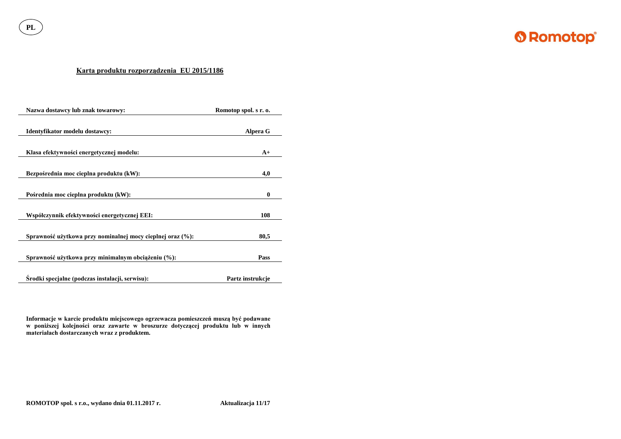**PL**



## **Karta produktu rozporządzenia EU 2015/1186**

| Nazwa dostawcy lub znak towarowy:                          | Romotop spol. s r. o. |
|------------------------------------------------------------|-----------------------|
| Identyfikator modelu dostawcy:                             | Alpera G              |
| Klasa efektywności energetycznej modelu:                   | $A+$                  |
| Bezpośrednia moc cieplna produktu (kW):                    | 4,0                   |
| Pośrednia moc cieplna produktu (kW):                       | $\boldsymbol{0}$      |
| Współczynnik efektywności energetycznej EEI:               | 108                   |
| Sprawność użytkowa przy nominalnej mocy cieplnej oraz (%): | 80,5                  |
| Sprawność użytkowa przy minimalnym obciążeniu (%):         | Pass                  |
| Srodki specjalne (podczas instalacji, serwisu):            | Partz instrukcje      |

**Informacje w karcie produktu miejscowego ogrzewacza pomieszczeń muszą być podawane w poniższej kolejności oraz zawarte w broszurze dotyczącej produktu lub w innych materiałach dostarczanych wraz z produktem.**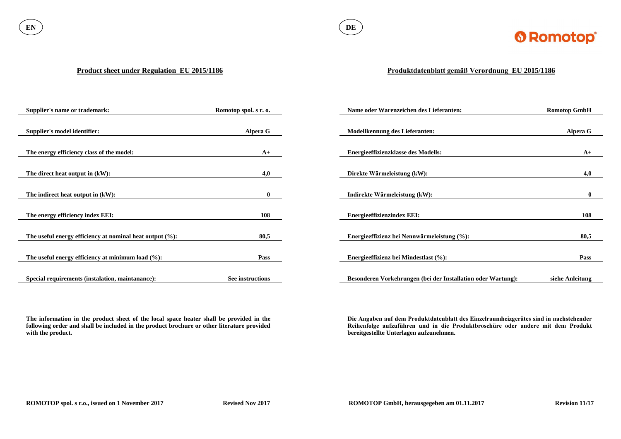

#### **Product sheet under Regulation EU 2015/1186**

**The information in the product sheet of the local space heater shall be provided in the following order and shall be included in the product brochure or other literature provided with the product.**

| Supplier's name or trademark:                               | Romotop spol. s r. o. | Name oder Warenzeichen des Lieferanten:                      | <b>Romotop GmbH</b> |
|-------------------------------------------------------------|-----------------------|--------------------------------------------------------------|---------------------|
|                                                             |                       |                                                              |                     |
| <b>Supplier's model identifier:</b>                         | <b>Alpera G</b>       | <b>Modellkennung des Lieferanten:</b>                        | Alpera G            |
|                                                             |                       |                                                              |                     |
| The energy efficiency class of the model:                   | $A+$                  | <b>Energieeffizienzklasse des Modells:</b>                   | $A+$                |
|                                                             |                       |                                                              |                     |
| The direct heat output in (kW):                             | 4,0                   | Direkte Wärmeleistung (kW):                                  | 4,0                 |
|                                                             |                       |                                                              |                     |
| The indirect heat output in (kW):                           | $\mathbf{0}$          | Indirekte Wärmeleistung (kW):                                | $\mathbf{0}$        |
|                                                             |                       |                                                              |                     |
| The energy efficiency index EEI:                            | 108                   | <b>Energieeffizienzindex EEI:</b>                            | 108                 |
|                                                             |                       |                                                              |                     |
| The useful energy efficiency at nominal heat output $(\%):$ | 80,5                  | Energieeffizienz bei Nennwärmeleistung (%):                  | 80,5                |
|                                                             |                       |                                                              |                     |
| The useful energy efficiency at minimum load $(\%):$        | Pass                  | Energieeffizienz bei Mindestlast (%):                        | <b>Pass</b>         |
|                                                             |                       |                                                              |                     |
| Special requirements (instalation, maintanance):            | See instructions      | Besonderen Vorkehrungen (bei der Installation oder Wartung): | siehe Anleitung     |

# **Produktdatenblatt gemäß Verordnung EU 2015/1186**

**Die Angaben auf dem Produktdatenblatt des Einzelraumheizgerätes sind in nachstehender Reihenfolge aufzuführen und in die Produktbroschüre oder andere mit dem Produkt bereitgestellte Unterlagen aufzunehmen.**